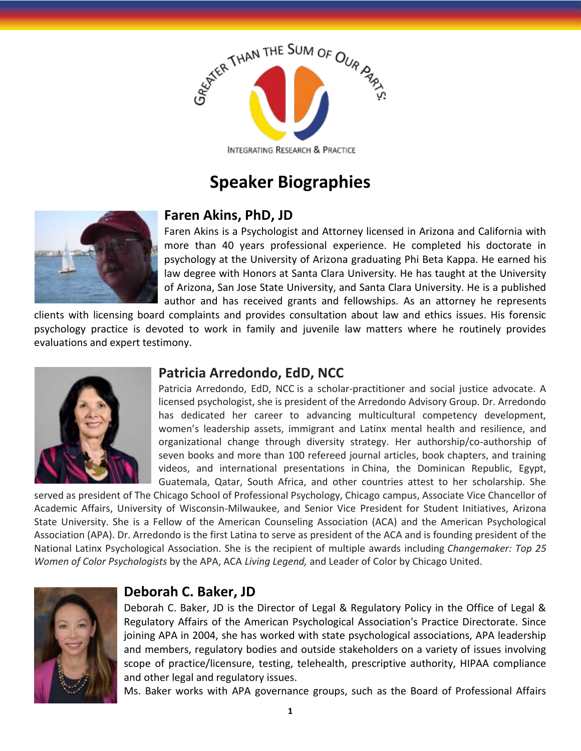

# **Speaker Biographies**



#### **Faren Akins, PhD, JD**

Faren Akins is a Psychologist and Attorney licensed in Arizona and California with more than 40 years professional experience. He completed his doctorate in psychology at the University of Arizona graduating Phi Beta Kappa. He earned his law degree with Honors at Santa Clara University. He has taught at the University of Arizona, San Jose State University, and Santa Clara University. He is a published author and has received grants and fellowships. As an attorney he represents

clients with licensing board complaints and provides consultation about law and ethics issues. His forensic psychology practice is devoted to work in family and juvenile law matters where he routinely provides evaluations and expert testimony.



#### **Patricia Arredondo, EdD, NCC**

Patricia Arredondo, EdD, NCC is a scholar-practitioner and social justice advocate. A licensed psychologist, she is president of the Arredondo Advisory Group. Dr. Arredondo has dedicated her career to advancing multicultural competency development, women's leadership assets, immigrant and Latinx mental health and resilience, and organizational change through diversity strategy. Her authorship/co-authorship of seven books and more than 100 refereed journal articles, book chapters, and training videos, and international presentations in China, the Dominican Republic, Egypt, Guatemala, Qatar, South Africa, and other countries attest to her scholarship. She

served as president of The Chicago School of Professional Psychology, Chicago campus, Associate Vice Chancellor of Academic Affairs, University of Wisconsin-Milwaukee, and Senior Vice President for Student Initiatives, Arizona State University. She is a Fellow of the American Counseling Association (ACA) and the American Psychological Association (APA). Dr. Arredondo is the first Latina to serve as president of the ACA and is founding president of the National Latinx Psychological Association. She is the recipient of multiple awards including *Changemaker: Top 25 Women of Color Psychologists* by the APA, ACA *Living Legend,* and Leader of Color by Chicago United.



### **Deborah C. Baker, JD**

Deborah C. Baker, JD is the Director of Legal & Regulatory Policy in the Office of Legal & Regulatory Affairs of the American Psychological Association's Practice Directorate. Since joining APA in 2004, she has worked with state psychological associations, APA leadership and members, regulatory bodies and outside stakeholders on a variety of issues involving scope of practice/licensure, testing, telehealth, prescriptive authority, HIPAA compliance and other legal and regulatory issues.

Ms. Baker works with APA governance groups, such as the Board of Professional Affairs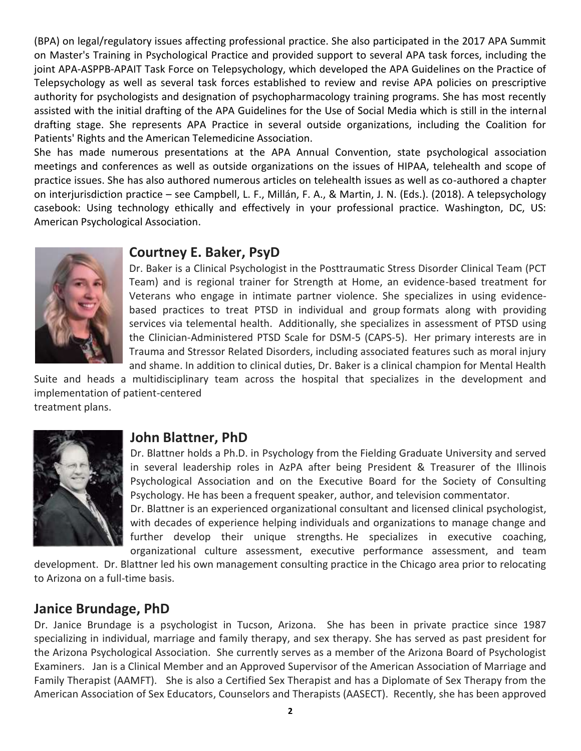(BPA) on legal/regulatory issues affecting professional practice. She also participated in the 2017 APA Summit on Master's Training in Psychological Practice and provided support to several APA task forces, including the joint APA-ASPPB-APAIT Task Force on Telepsychology, which developed the APA Guidelines on the Practice of Telepsychology as well as several task forces established to review and revise APA policies on prescriptive authority for psychologists and designation of psychopharmacology training programs. She has most recently assisted with the initial drafting of the APA Guidelines for the Use of Social Media which is still in the internal drafting stage. She represents APA Practice in several outside organizations, including the Coalition for Patients' Rights and the American Telemedicine Association.

She has made numerous presentations at the APA Annual Convention, state psychological association meetings and conferences as well as outside organizations on the issues of HIPAA, telehealth and scope of practice issues. She has also authored numerous articles on telehealth issues as well as co-authored a chapter on interjurisdiction practice – see Campbell, L. F., Millán, F. A., & Martin, J. N. (Eds.). (2018). A telepsychology casebook: Using technology ethically and effectively in your professional practice. Washington, DC, US: American Psychological Association.



### **Courtney E. Baker, PsyD**

Dr. Baker is a Clinical Psychologist in the Posttraumatic Stress Disorder Clinical Team (PCT Team) and is regional trainer for Strength at Home, an evidence-based treatment for Veterans who engage in intimate partner violence. She specializes in using evidencebased practices to treat PTSD in individual and group formats along with providing services via telemental health. Additionally, she specializes in assessment of PTSD using the Clinician-Administered PTSD Scale for DSM-5 (CAPS-5). Her primary interests are in Trauma and Stressor Related Disorders, including associated features such as moral injury and shame. In addition to clinical duties, Dr. Baker is a clinical champion for Mental Health

Suite and heads a multidisciplinary team across the hospital that specializes in the development and implementation of patient-centered treatment plans.



#### **John Blattner, PhD**

Dr. Blattner holds a Ph.D. in Psychology from the Fielding Graduate University and served in several leadership roles in AzPA after being President & Treasurer of the Illinois Psychological Association and on the Executive Board for the Society of Consulting Psychology. He has been a frequent speaker, author, and television commentator.

Dr. Blattner is an experienced organizational consultant and licensed clinical psychologist, with decades of experience helping individuals and organizations to manage change and further develop their unique strengths. He specializes in executive coaching, organizational culture assessment, executive performance assessment, and team

development. Dr. Blattner led his own management consulting practice in the Chicago area prior to relocating to Arizona on a full-time basis.

### **Janice Brundage, PhD**

Dr. Janice Brundage is a psychologist in Tucson, Arizona. She has been in private practice since 1987 specializing in individual, marriage and family therapy, and sex therapy. She has served as past president for the Arizona Psychological Association. She currently serves as a member of the Arizona Board of Psychologist Examiners. Jan is a Clinical Member and an Approved Supervisor of the American Association of Marriage and Family Therapist (AAMFT). She is also a Certified Sex Therapist and has a Diplomate of Sex Therapy from the American Association of Sex Educators, Counselors and Therapists (AASECT). Recently, she has been approved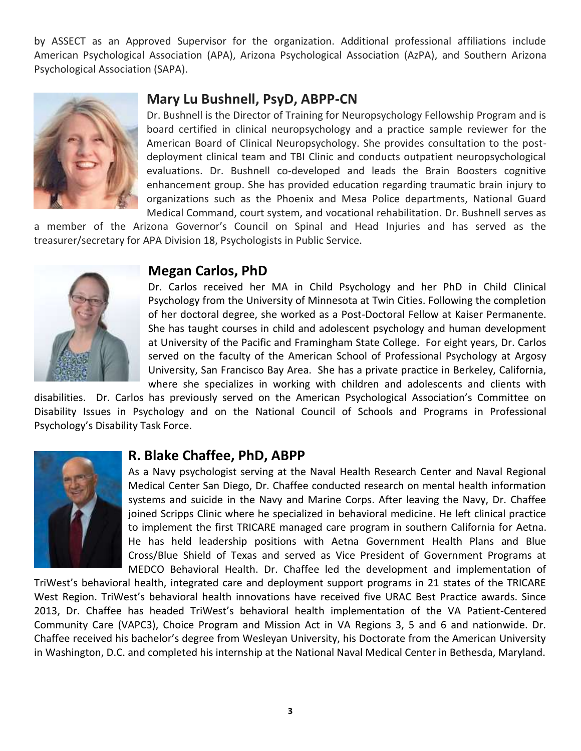by ASSECT as an Approved Supervisor for the organization. Additional professional affiliations include American Psychological Association (APA), Arizona Psychological Association (AzPA), and Southern Arizona Psychological Association (SAPA).



#### **Mary Lu Bushnell, PsyD, ABPP-CN**

Dr. Bushnell is the Director of Training for Neuropsychology Fellowship Program and is board certified in clinical neuropsychology and a practice sample reviewer for the American Board of Clinical Neuropsychology. She provides consultation to the postdeployment clinical team and TBI Clinic and conducts outpatient neuropsychological evaluations. Dr. Bushnell co-developed and leads the Brain Boosters cognitive enhancement group. She has provided education regarding traumatic brain injury to organizations such as the Phoenix and Mesa Police departments, National Guard Medical Command, court system, and vocational rehabilitation. Dr. Bushnell serves as

a member of the Arizona Governor's Council on Spinal and Head Injuries and has served as the treasurer/secretary for APA Division 18, Psychologists in Public Service.



#### **Megan Carlos, PhD**

Dr. Carlos received her MA in Child Psychology and her PhD in Child Clinical Psychology from the University of Minnesota at Twin Cities. Following the completion of her doctoral degree, she worked as a Post-Doctoral Fellow at Kaiser Permanente. She has taught courses in child and adolescent psychology and human development at University of the Pacific and Framingham State College. For eight years, Dr. Carlos served on the faculty of the American School of Professional Psychology at Argosy University, San Francisco Bay Area. She has a private practice in Berkeley, California, where she specializes in working with children and adolescents and clients with

disabilities. Dr. Carlos has previously served on the American Psychological Association's Committee on Disability Issues in Psychology and on the National Council of Schools and Programs in Professional Psychology's Disability Task Force.



#### **R. Blake Chaffee, PhD, ABPP**

As a Navy psychologist serving at the Naval Health Research Center and Naval Regional Medical Center San Diego, Dr. Chaffee conducted research on mental health information systems and suicide in the Navy and Marine Corps. After leaving the Navy, Dr. Chaffee joined Scripps Clinic where he specialized in behavioral medicine. He left clinical practice to implement the first TRICARE managed care program in southern California for Aetna. He has held leadership positions with Aetna Government Health Plans and Blue Cross/Blue Shield of Texas and served as Vice President of Government Programs at MEDCO Behavioral Health. Dr. Chaffee led the development and implementation of

TriWest's behavioral health, integrated care and deployment support programs in 21 states of the TRICARE West Region. TriWest's behavioral health innovations have received five URAC Best Practice awards. Since 2013, Dr. Chaffee has headed TriWest's behavioral health implementation of the VA Patient-Centered Community Care (VAPC3), Choice Program and Mission Act in VA Regions 3, 5 and 6 and nationwide. Dr. Chaffee received his bachelor's degree from Wesleyan University, his Doctorate from the American University in Washington, D.C. and completed his internship at the National Naval Medical Center in Bethesda, Maryland.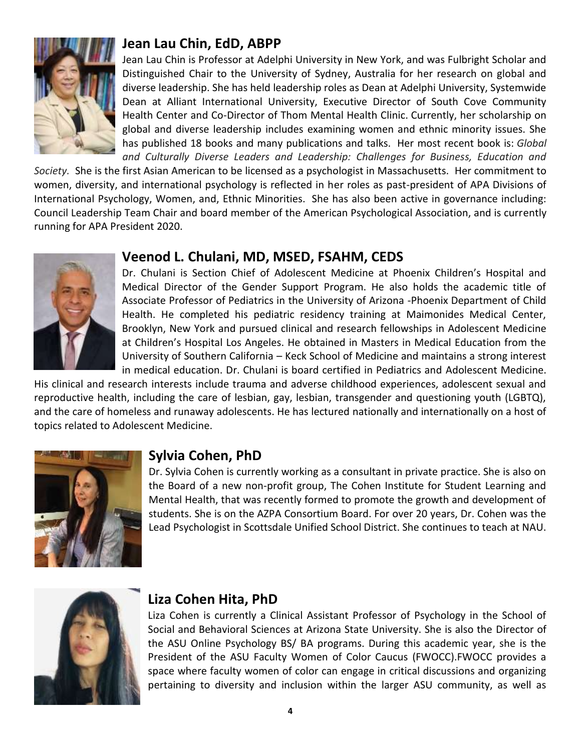

### **Jean Lau Chin, EdD, ABPP**

Jean Lau Chin is Professor at Adelphi University in New York, and was Fulbright Scholar and Distinguished Chair to the University of Sydney, Australia for her research on global and diverse leadership. She has held leadership roles as Dean at Adelphi University, Systemwide Dean at Alliant International University, Executive Director of South Cove Community Health Center and Co-Director of Thom Mental Health Clinic. Currently, her scholarship on global and diverse leadership includes examining women and ethnic minority issues. She has published 18 books and many publications and talks. Her most recent book is: *Global and Culturally Diverse Leaders and Leadership: Challenges for Business, Education and* 

*Society.* She is the first Asian American to be licensed as a psychologist in Massachusetts. Her commitment to women, diversity, and international psychology is reflected in her roles as past-president of APA Divisions of International Psychology, Women, and, Ethnic Minorities. She has also been active in governance including: Council Leadership Team Chair and board member of the American Psychological Association, and is currently running for APA President 2020.



### **Veenod L. Chulani, MD, MSED, FSAHM, CEDS**

Dr. Chulani is Section Chief of Adolescent Medicine at Phoenix Children's Hospital and Medical Director of the Gender Support Program. He also holds the academic title of Associate Professor of Pediatrics in the University of Arizona -Phoenix Department of Child Health. He completed his pediatric residency training at Maimonides Medical Center, Brooklyn, New York and pursued clinical and research fellowships in Adolescent Medicine at Children's Hospital Los Angeles. He obtained in Masters in Medical Education from the University of Southern California – Keck School of Medicine and maintains a strong interest in medical education. Dr. Chulani is board certified in Pediatrics and Adolescent Medicine.

His clinical and research interests include trauma and adverse childhood experiences, adolescent sexual and reproductive health, including the care of lesbian, gay, lesbian, transgender and questioning youth (LGBTQ), and the care of homeless and runaway adolescents. He has lectured nationally and internationally on a host of topics related to Adolescent Medicine.



### **Sylvia Cohen, PhD**

Dr. Sylvia Cohen is currently working as a consultant in private practice. She is also on the Board of a new non-profit group, The Cohen Institute for Student Learning and Mental Health, that was recently formed to promote the growth and development of students. She is on the AZPA Consortium Board. For over 20 years, Dr. Cohen was the Lead Psychologist in Scottsdale Unified School District. She continues to teach at NAU.



### **Liza Cohen Hita, PhD**

Liza Cohen is currently a Clinical Assistant Professor of Psychology in the School of Social and Behavioral Sciences at Arizona State University. She is also the Director of the ASU Online Psychology BS/ BA programs. During this academic year, she is the President of the ASU Faculty Women of Color Caucus (FWOCC).FWOCC provides a space where faculty women of color can engage in critical discussions and organizing pertaining to diversity and inclusion within the larger ASU community, as well as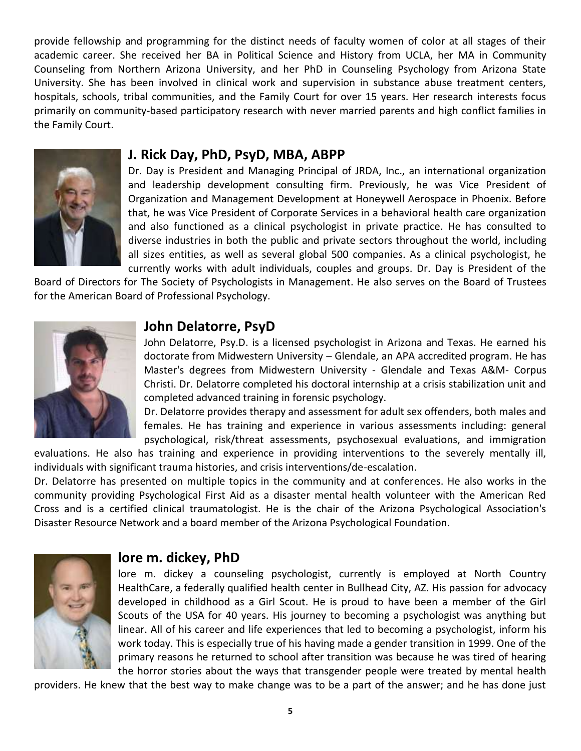provide fellowship and programming for the distinct needs of faculty women of color at all stages of their academic career. She received her BA in Political Science and History from UCLA, her MA in Community Counseling from Northern Arizona University, and her PhD in Counseling Psychology from Arizona State University. She has been involved in clinical work and supervision in substance abuse treatment centers, hospitals, schools, tribal communities, and the Family Court for over 15 years. Her research interests focus primarily on community-based participatory research with never married parents and high conflict families in the Family Court.



#### **J. Rick Day, PhD, PsyD, MBA, ABPP**

Dr. Day is President and Managing Principal of JRDA, Inc., an international organization and leadership development consulting firm. Previously, he was Vice President of Organization and Management Development at Honeywell Aerospace in Phoenix. Before that, he was Vice President of Corporate Services in a behavioral health care organization and also functioned as a clinical psychologist in private practice. He has consulted to diverse industries in both the public and private sectors throughout the world, including all sizes entities, as well as several global 500 companies. As a clinical psychologist, he currently works with adult individuals, couples and groups. Dr. Day is President of the

Board of Directors for The Society of Psychologists in Management. He also serves on the Board of Trustees for the American Board of Professional Psychology.



## **John Delatorre, PsyD**

John Delatorre, Psy.D. is a licensed psychologist in Arizona and Texas. He earned his doctorate from Midwestern University – Glendale, an APA accredited program. He has Master's degrees from Midwestern University - Glendale and Texas A&M- Corpus Christi. Dr. Delatorre completed his doctoral internship at a crisis stabilization unit and completed advanced training in forensic psychology.

Dr. Delatorre provides therapy and assessment for adult sex offenders, both males and females. He has training and experience in various assessments including: general psychological, risk/threat assessments, psychosexual evaluations, and immigration

evaluations. He also has training and experience in providing interventions to the severely mentally ill, individuals with significant trauma histories, and crisis interventions/de-escalation.

Dr. Delatorre has presented on multiple topics in the community and at conferences. He also works in the community providing Psychological First Aid as a disaster mental health volunteer with the American Red Cross and is a certified clinical traumatologist. He is the chair of the Arizona Psychological Association's Disaster Resource Network and a board member of the Arizona Psychological Foundation.



#### **lore m. dickey, PhD**

lore m. dickey a counseling psychologist, currently is employed at North Country HealthCare, a federally qualified health center in Bullhead City, AZ. His passion for advocacy developed in childhood as a Girl Scout. He is proud to have been a member of the Girl Scouts of the USA for 40 years. His journey to becoming a psychologist was anything but linear. All of his career and life experiences that led to becoming a psychologist, inform his work today. This is especially true of his having made a gender transition in 1999. One of the primary reasons he returned to school after transition was because he was tired of hearing the horror stories about the ways that transgender people were treated by mental health

providers. He knew that the best way to make change was to be a part of the answer; and he has done just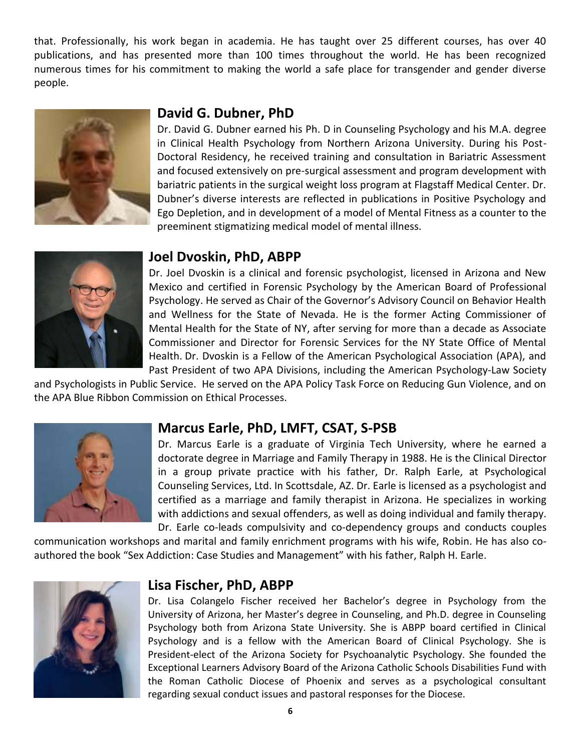that. Professionally, his work began in academia. He has taught over 25 different courses, has over 40 publications, and has presented more than 100 times throughout the world. He has been recognized numerous times for his commitment to making the world a safe place for transgender and gender diverse people.



#### **David G. Dubner, PhD**

Dr. David G. Dubner earned his Ph. D in Counseling Psychology and his M.A. degree in Clinical Health Psychology from Northern Arizona University. During his Post-Doctoral Residency, he received training and consultation in Bariatric Assessment and focused extensively on pre-surgical assessment and program development with bariatric patients in the surgical weight loss program at Flagstaff Medical Center. Dr. Dubner's diverse interests are reflected in publications in Positive Psychology and Ego Depletion, and in development of a model of Mental Fitness as a counter to the preeminent stigmatizing medical model of mental illness.



#### **Joel Dvoskin, PhD, ABPP**

Dr. Joel Dvoskin is a clinical and forensic psychologist, licensed in Arizona and New Mexico and certified in Forensic Psychology by the American Board of Professional Psychology. He served as Chair of the Governor's Advisory Council on Behavior Health and Wellness for the State of Nevada. He is the former Acting Commissioner of Mental Health for the State of NY, after serving for more than a decade as Associate Commissioner and Director for Forensic Services for the NY State Office of Mental Health. Dr. Dvoskin is a Fellow of the American Psychological Association (APA), and Past President of two APA Divisions, including the American Psychology-Law Society

and Psychologists in Public Service. He served on the APA Policy Task Force on Reducing Gun Violence, and on the APA Blue Ribbon Commission on Ethical Processes.



#### **Marcus Earle, PhD, LMFT, CSAT, S-PSB**

Dr. Marcus Earle is a graduate of Virginia Tech University, where he earned a doctorate degree in Marriage and Family Therapy in 1988. He is the Clinical Director in a group private practice with his father, Dr. Ralph Earle, at Psychological Counseling Services, Ltd. In Scottsdale, AZ. Dr. Earle is licensed as a psychologist and certified as a marriage and family therapist in Arizona. He specializes in working with addictions and sexual offenders, as well as doing individual and family therapy. Dr. Earle co-leads compulsivity and co-dependency groups and conducts couples

communication workshops and marital and family enrichment programs with his wife, Robin. He has also coauthored the book "Sex Addiction: Case Studies and Management" with his father, Ralph H. Earle.



#### **Lisa Fischer, PhD, ABPP**

Dr. Lisa Colangelo Fischer received her Bachelor's degree in Psychology from the University of Arizona, her Master's degree in Counseling, and Ph.D. degree in Counseling Psychology both from Arizona State University. She is ABPP board certified in Clinical Psychology and is a fellow with the American Board of Clinical Psychology. She is President-elect of the Arizona Society for Psychoanalytic Psychology. She founded the Exceptional Learners Advisory Board of the Arizona Catholic Schools Disabilities Fund with the Roman Catholic Diocese of Phoenix and serves as a psychological consultant regarding sexual conduct issues and pastoral responses for the Diocese.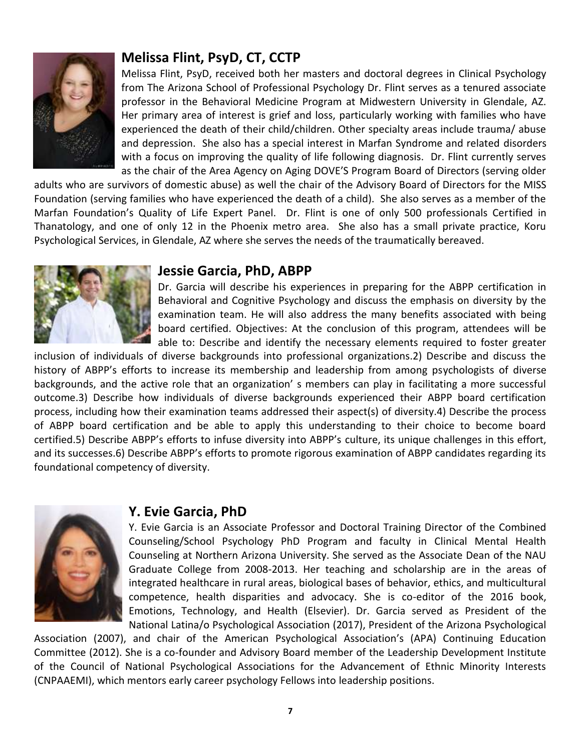

### **Melissa Flint, PsyD, CT, CCTP**

Melissa Flint, PsyD, received both her masters and doctoral degrees in Clinical Psychology from The Arizona School of Professional Psychology Dr. Flint serves as a tenured associate professor in the Behavioral Medicine Program at Midwestern University in Glendale, AZ. Her primary area of interest is grief and loss, particularly working with families who have experienced the death of their child/children. Other specialty areas include trauma/ abuse and depression. She also has a special interest in Marfan Syndrome and related disorders with a focus on improving the quality of life following diagnosis. Dr. Flint currently serves as the chair of the Area Agency on Aging DOVE'S Program Board of Directors (serving older

adults who are survivors of domestic abuse) as well the chair of the Advisory Board of Directors for the MISS Foundation (serving families who have experienced the death of a child). She also serves as a member of the Marfan Foundation's Quality of Life Expert Panel. Dr. Flint is one of only 500 professionals Certified in Thanatology, and one of only 12 in the Phoenix metro area. She also has a small private practice, Koru Psychological Services, in Glendale, AZ where she serves the needs of the traumatically bereaved.



#### **Jessie Garcia, PhD, ABPP**

Dr. Garcia will describe his experiences in preparing for the ABPP certification in Behavioral and Cognitive Psychology and discuss the emphasis on diversity by the examination team. He will also address the many benefits associated with being board certified. Objectives: At the conclusion of this program, attendees will be able to: Describe and identify the necessary elements required to foster greater

inclusion of individuals of diverse backgrounds into professional organizations.2) Describe and discuss the history of ABPP's efforts to increase its membership and leadership from among psychologists of diverse backgrounds, and the active role that an organization' s members can play in facilitating a more successful outcome.3) Describe how individuals of diverse backgrounds experienced their ABPP board certification process, including how their examination teams addressed their aspect(s) of diversity.4) Describe the process of ABPP board certification and be able to apply this understanding to their choice to become board certified.5) Describe ABPP's efforts to infuse diversity into ABPP's culture, its unique challenges in this effort, and its successes.6) Describe ABPP's efforts to promote rigorous examination of ABPP candidates regarding its foundational competency of diversity.



#### **Y. Evie Garcia, PhD**

Y. Evie Garcia is an Associate Professor and Doctoral Training Director of the Combined Counseling/School Psychology PhD Program and faculty in Clinical Mental Health Counseling at Northern Arizona University. She served as the Associate Dean of the NAU Graduate College from 2008-2013. Her teaching and scholarship are in the areas of integrated healthcare in rural areas, biological bases of behavior, ethics, and multicultural competence, health disparities and advocacy. She is co-editor of the 2016 book, Emotions, Technology, and Health (Elsevier). Dr. Garcia served as President of the National Latina/o Psychological Association (2017), President of the Arizona Psychological

Association (2007), and chair of the American Psychological Association's (APA) Continuing Education Committee (2012). She is a co-founder and Advisory Board member of the Leadership Development Institute of the Council of National Psychological Associations for the Advancement of Ethnic Minority Interests (CNPAAEMI), which mentors early career psychology Fellows into leadership positions.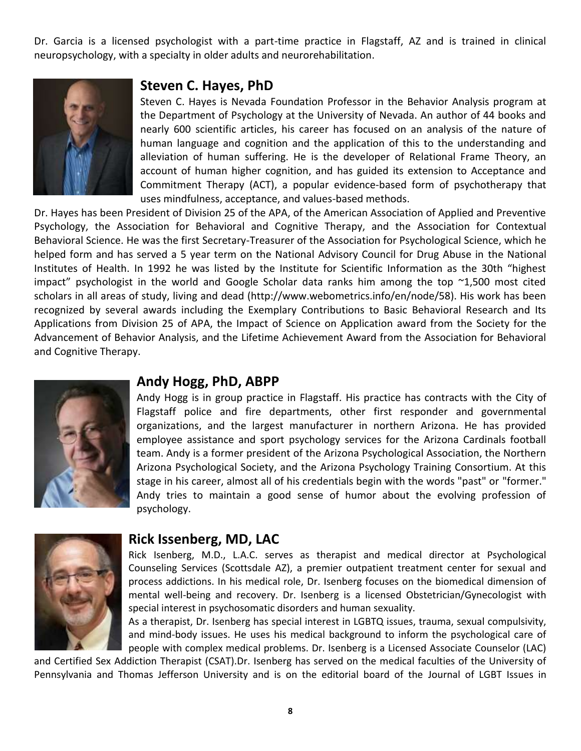Dr. Garcia is a licensed psychologist with a part-time practice in Flagstaff, AZ and is trained in clinical neuropsychology, with a specialty in older adults and neurorehabilitation.



#### **Steven C. Hayes, PhD**

Steven C. Hayes is Nevada Foundation Professor in the Behavior Analysis program at the Department of Psychology at the University of Nevada. An author of 44 books and nearly 600 scientific articles, his career has focused on an analysis of the nature of human language and cognition and the application of this to the understanding and alleviation of human suffering. He is the developer of Relational Frame Theory, an account of human higher cognition, and has guided its extension to Acceptance and Commitment Therapy (ACT), a popular evidence-based form of psychotherapy that uses mindfulness, acceptance, and values-based methods.

Dr. Hayes has been President of Division 25 of the APA, of the American Association of Applied and Preventive Psychology, the Association for Behavioral and Cognitive Therapy, and the Association for Contextual Behavioral Science. He was the first Secretary-Treasurer of the Association for Psychological Science, which he helped form and has served a 5 year term on the National Advisory Council for Drug Abuse in the National Institutes of Health. In 1992 he was listed by the Institute for Scientific Information as the 30th "highest impact" psychologist in the world and Google Scholar data ranks him among the top ~1,500 most cited scholars in all areas of study, living and dead (http://www.webometrics.info/en/node/58). His work has been recognized by several awards including the Exemplary Contributions to Basic Behavioral Research and Its Applications from Division 25 of APA, the Impact of Science on Application award from the Society for the Advancement of Behavior Analysis, and the Lifetime Achievement Award from the Association for Behavioral and Cognitive Therapy.



#### **Andy Hogg, PhD, ABPP**

Andy Hogg is in group practice in Flagstaff. His practice has contracts with the City of Flagstaff police and fire departments, other first responder and governmental organizations, and the largest manufacturer in northern Arizona. He has provided employee assistance and sport psychology services for the Arizona Cardinals football team. Andy is a former president of the Arizona Psychological Association, the Northern Arizona Psychological Society, and the Arizona Psychology Training Consortium. At this stage in his career, almost all of his credentials begin with the words "past" or "former." Andy tries to maintain a good sense of humor about the evolving profession of psychology.



#### **Rick Issenberg, MD, LAC**

Rick Isenberg, M.D., L.A.C. serves as therapist and medical director at Psychological Counseling Services (Scottsdale AZ), a premier outpatient treatment center for sexual and process addictions. In his medical role, Dr. Isenberg focuses on the biomedical dimension of mental well-being and recovery. Dr. Isenberg is a licensed Obstetrician/Gynecologist with special interest in psychosomatic disorders and human sexuality.

As a therapist, Dr. Isenberg has special interest in LGBTQ issues, trauma, sexual compulsivity, and mind-body issues. He uses his medical background to inform the psychological care of people with complex medical problems. Dr. Isenberg is a Licensed Associate Counselor (LAC)

and Certified Sex Addiction Therapist (CSAT).Dr. Isenberg has served on the medical faculties of the University of Pennsylvania and Thomas Jefferson University and is on the editorial board of the Journal of LGBT Issues in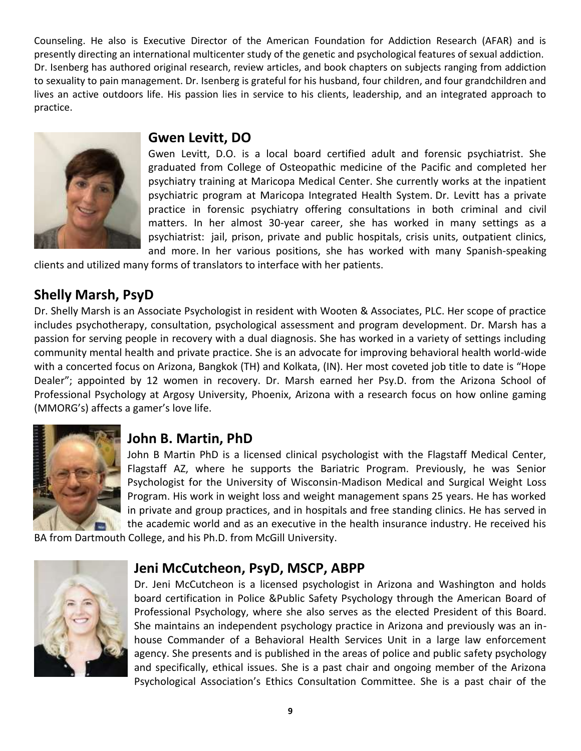Counseling. He also is Executive Director of the American Foundation for Addiction Research (AFAR) and is presently directing an international multicenter study of the genetic and psychological features of sexual addiction. Dr. Isenberg has authored original research, review articles, and book chapters on subjects ranging from addiction to sexuality to pain management. Dr. Isenberg is grateful for his husband, four children, and four grandchildren and lives an active outdoors life. His passion lies in service to his clients, leadership, and an integrated approach to practice.



### **Gwen Levitt, DO**

Gwen Levitt, D.O. is a local board certified adult and forensic psychiatrist. She graduated from College of Osteopathic medicine of the Pacific and completed her psychiatry training at Maricopa Medical Center. She currently works at the inpatient psychiatric program at Maricopa Integrated Health System. Dr. Levitt has a private practice in forensic psychiatry offering consultations in both criminal and civil matters. In her almost 30-year career, she has worked in many settings as a psychiatrist: jail, prison, private and public hospitals, crisis units, outpatient clinics, and more. In her various positions, she has worked with many Spanish-speaking

clients and utilized many forms of translators to interface with her patients.

# **Shelly Marsh, PsyD**

Dr. Shelly Marsh is an Associate Psychologist in resident with Wooten & Associates, PLC. Her scope of practice includes psychotherapy, consultation, psychological assessment and program development. Dr. Marsh has a passion for serving people in recovery with a dual diagnosis. She has worked in a variety of settings including community mental health and private practice. She is an advocate for improving behavioral health world-wide with a concerted focus on Arizona, Bangkok (TH) and Kolkata, (IN). Her most coveted job title to date is "Hope Dealer"; appointed by 12 women in recovery. Dr. Marsh earned her Psy.D. from the Arizona School of Professional Psychology at Argosy University, Phoenix, Arizona with a research focus on how online gaming (MMORG's) affects a gamer's love life.



# **John B. Martin, PhD**

John B Martin PhD is a licensed clinical psychologist with the Flagstaff Medical Center, Flagstaff AZ, where he supports the Bariatric Program. Previously, he was Senior Psychologist for the University of Wisconsin-Madison Medical and Surgical Weight Loss Program. His work in weight loss and weight management spans 25 years. He has worked in private and group practices, and in hospitals and free standing clinics. He has served in the academic world and as an executive in the health insurance industry. He received his

BA from Dartmouth College, and his Ph.D. from McGill University.



### **Jeni McCutcheon, PsyD, MSCP, ABPP**

Dr. Jeni McCutcheon is a licensed psychologist in Arizona and Washington and holds board certification in Police &Public Safety Psychology through the American Board of Professional Psychology, where she also serves as the elected President of this Board. She maintains an independent psychology practice in Arizona and previously was an inhouse Commander of a Behavioral Health Services Unit in a large law enforcement agency. She presents and is published in the areas of police and public safety psychology and specifically, ethical issues. She is a past chair and ongoing member of the Arizona Psychological Association's Ethics Consultation Committee. She is a past chair of the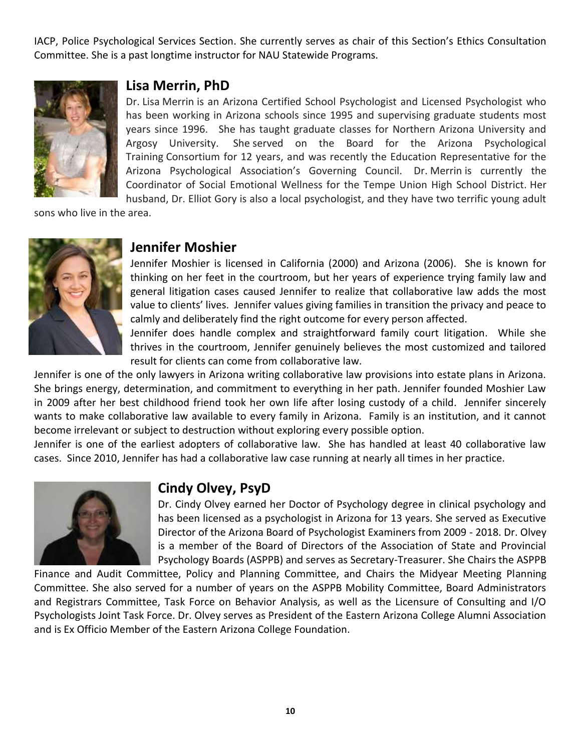IACP, Police Psychological Services Section. She currently serves as chair of this Section's Ethics Consultation Committee. She is a past longtime instructor for NAU Statewide Programs.



#### **Lisa Merrin, PhD**

Dr. Lisa Merrin is an Arizona Certified School Psychologist and Licensed Psychologist who has been working in Arizona schools since 1995 and supervising graduate students most years since 1996. She has taught graduate classes for Northern Arizona University and Argosy University. She served on the Board for the Arizona Psychological Training Consortium for 12 years, and was recently the Education Representative for the Arizona Psychological Association's Governing Council. Dr. Merrin is currently the Coordinator of Social Emotional Wellness for the Tempe Union High School District. Her husband, Dr. Elliot Gory is also a local psychologist, and they have two terrific young adult

sons who live in the area.



#### **Jennifer Moshier**

Jennifer Moshier is licensed in California (2000) and Arizona (2006). She is known for thinking on her feet in the courtroom, but her years of experience trying family law and general litigation cases caused Jennifer to realize that collaborative law adds the most value to clients' lives. Jennifer values giving families in transition the privacy and peace to calmly and deliberately find the right outcome for every person affected.

Jennifer does handle complex and straightforward family court litigation. While she thrives in the courtroom, Jennifer genuinely believes the most customized and tailored result for clients can come from collaborative law.

Jennifer is one of the only lawyers in Arizona writing collaborative law provisions into estate plans in Arizona. She brings energy, determination, and commitment to everything in her path. Jennifer founded Moshier Law in 2009 after her best childhood friend took her own life after losing custody of a child. Jennifer sincerely wants to make collaborative law available to every family in Arizona. Family is an institution, and it cannot become irrelevant or subject to destruction without exploring every possible option.

Jennifer is one of the earliest adopters of collaborative law. She has handled at least 40 collaborative law cases. Since 2010, Jennifer has had a collaborative law case running at nearly all times in her practice.



### **Cindy Olvey, PsyD**

Dr. Cindy Olvey earned her Doctor of Psychology degree in clinical psychology and has been licensed as a psychologist in Arizona for 13 years. She served as Executive Director of the Arizona Board of Psychologist Examiners from 2009 - 2018. Dr. Olvey is a member of the Board of Directors of the Association of State and Provincial Psychology Boards (ASPPB) and serves as Secretary-Treasurer. She Chairs the ASPPB

Finance and Audit Committee, Policy and Planning Committee, and Chairs the Midyear Meeting Planning Committee. She also served for a number of years on the ASPPB Mobility Committee, Board Administrators and Registrars Committee, Task Force on Behavior Analysis, as well as the Licensure of Consulting and I/O Psychologists Joint Task Force. Dr. Olvey serves as President of the Eastern Arizona College Alumni Association and is Ex Officio Member of the Eastern Arizona College Foundation.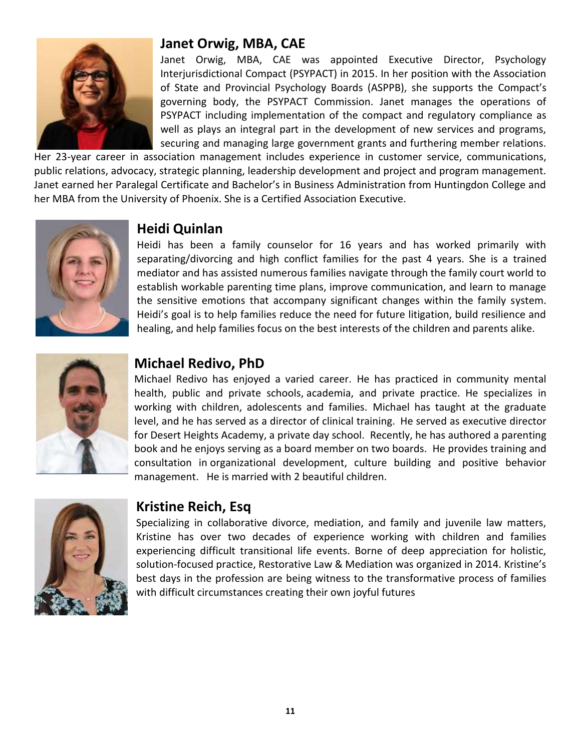

### **Janet Orwig, MBA, CAE**

Janet Orwig, MBA, CAE was appointed Executive Director, Psychology Interjurisdictional Compact (PSYPACT) in 2015. In her position with the Association of State and Provincial Psychology Boards (ASPPB), she supports the Compact's governing body, the PSYPACT Commission. Janet manages the operations of PSYPACT including implementation of the compact and regulatory compliance as well as plays an integral part in the development of new services and programs, securing and managing large government grants and furthering member relations.

Her 23-year career in association management includes experience in customer service, communications, public relations, advocacy, strategic planning, leadership development and project and program management. Janet earned her Paralegal Certificate and Bachelor's in Business Administration from Huntingdon College and her MBA from the University of Phoenix. She is a Certified Association Executive.



# **Heidi Quinlan**

Heidi has been a family counselor for 16 years and has worked primarily with separating/divorcing and high conflict families for the past 4 years. She is a trained mediator and has assisted numerous families navigate through the family court world to establish workable parenting time plans, improve communication, and learn to manage the sensitive emotions that accompany significant changes within the family system. Heidi's goal is to help families reduce the need for future litigation, build resilience and healing, and help families focus on the best interests of the children and parents alike.



# **Michael Redivo, PhD**

Michael Redivo has enjoyed a varied career. He has practiced in community mental health, public and private schools, academia, and private practice. He specializes in working with children, adolescents and families. Michael has taught at the graduate level, and he has served as a director of clinical training. He served as executive director for Desert Heights Academy, a private day school. Recently, he has authored a parenting book and he enjoys serving as a board member on two boards. He provides training and consultation in organizational development, culture building and positive behavior management. He is married with 2 beautiful children.



# **Kristine Reich, Esq**

Specializing in collaborative divorce, mediation, and family and juvenile law matters, Kristine has over two decades of experience working with children and families experiencing difficult transitional life events. Borne of deep appreciation for holistic, solution-focused practice, Restorative Law & Mediation was organized in 2014. Kristine's best days in the profession are being witness to the transformative process of families with difficult circumstances creating their own joyful futures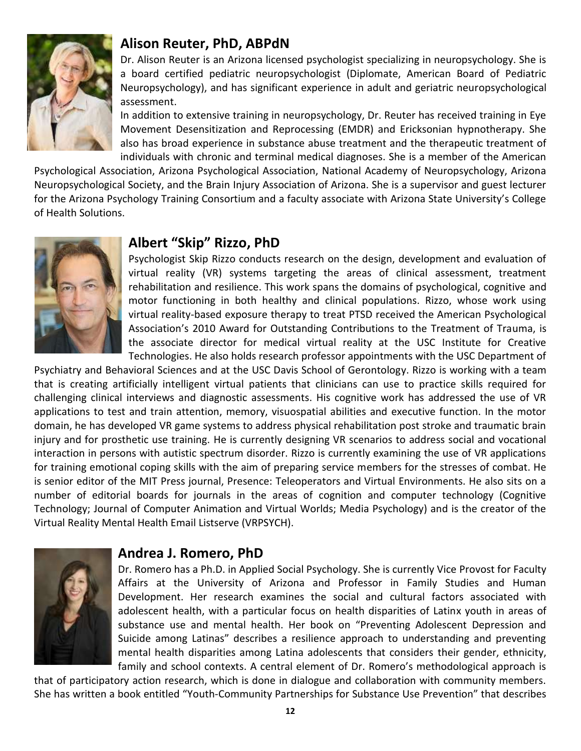

#### **Alison Reuter, PhD, ABPdN**

Dr. Alison Reuter is an Arizona licensed psychologist specializing in neuropsychology. She is a board certified pediatric neuropsychologist (Diplomate, American Board of Pediatric Neuropsychology), and has significant experience in adult and geriatric neuropsychological assessment.

In addition to extensive training in neuropsychology, Dr. Reuter has received training in Eye Movement Desensitization and Reprocessing (EMDR) and Ericksonian hypnotherapy. She also has broad experience in substance abuse treatment and the therapeutic treatment of individuals with chronic and terminal medical diagnoses. She is a member of the American

Psychological Association, Arizona Psychological Association, National Academy of Neuropsychology, Arizona Neuropsychological Society, and the Brain Injury Association of Arizona. She is a supervisor and guest lecturer for the Arizona Psychology Training Consortium and a faculty associate with Arizona State University's College of Health Solutions.



#### **Albert "Skip" Rizzo, PhD**

Psychologist Skip Rizzo conducts research on the design, development and evaluation of virtual reality (VR) systems targeting the areas of clinical assessment, treatment rehabilitation and resilience. This work spans the domains of psychological, cognitive and motor functioning in both healthy and clinical populations. Rizzo, whose work using virtual reality-based exposure therapy to treat PTSD received the American Psychological Association's 2010 Award for Outstanding Contributions to the Treatment of Trauma, is the associate director for medical virtual reality at the USC Institute for Creative Technologies. He also holds research professor appointments with the USC Department of

Psychiatry and Behavioral Sciences and at the USC Davis School of Gerontology. Rizzo is working with a team that is creating artificially intelligent virtual patients that clinicians can use to practice skills required for challenging clinical interviews and diagnostic assessments. His cognitive work has addressed the use of VR applications to test and train attention, memory, visuospatial abilities and executive function. In the motor domain, he has developed VR game systems to address physical rehabilitation post stroke and traumatic brain injury and for prosthetic use training. He is currently designing VR scenarios to address social and vocational interaction in persons with autistic spectrum disorder. Rizzo is currently examining the use of VR applications for training emotional coping skills with the aim of preparing service members for the stresses of combat. He is senior editor of the MIT Press journal, Presence: Teleoperators and Virtual Environments. He also sits on a number of editorial boards for journals in the areas of cognition and computer technology (Cognitive Technology; Journal of Computer Animation and Virtual Worlds; Media Psychology) and is the creator of the Virtual Reality Mental Health Email Listserve (VRPSYCH).



#### **Andrea J. Romero, PhD**

Dr. Romero has a Ph.D. in Applied Social Psychology. She is currently Vice Provost for Faculty Affairs at the University of Arizona and Professor in Family Studies and Human Development. Her research examines the social and cultural factors associated with adolescent health, with a particular focus on health disparities of Latinx youth in areas of substance use and mental health. Her book on "Preventing Adolescent Depression and Suicide among Latinas" describes a resilience approach to understanding and preventing mental health disparities among Latina adolescents that considers their gender, ethnicity, family and school contexts. A central element of Dr. Romero's methodological approach is

that of participatory action research, which is done in dialogue and collaboration with community members. She has written a book entitled "Youth-Community Partnerships for Substance Use Prevention" that describes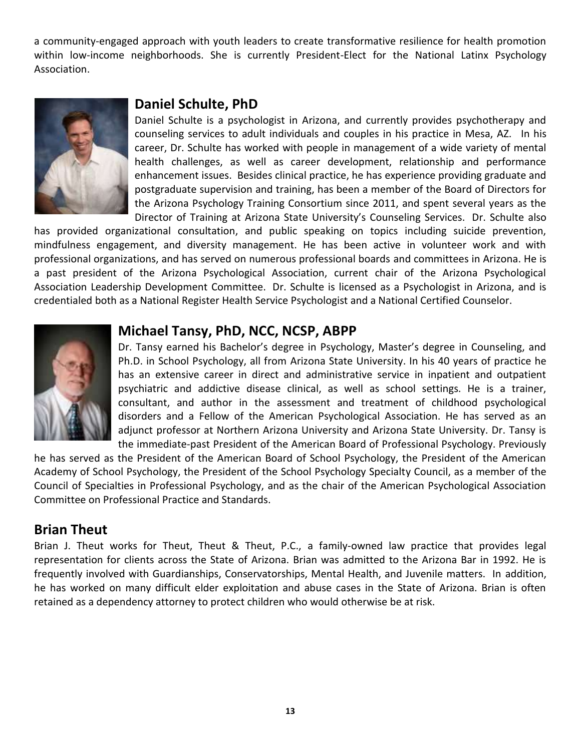a community-engaged approach with youth leaders to create transformative resilience for health promotion within low-income neighborhoods. She is currently President-Elect for the National Latinx Psychology Association.



#### **Daniel Schulte, PhD**

Daniel Schulte is a psychologist in Arizona, and currently provides psychotherapy and counseling services to adult individuals and couples in his practice in Mesa, AZ. In his career, Dr. Schulte has worked with people in management of a wide variety of mental health challenges, as well as career development, relationship and performance enhancement issues. Besides clinical practice, he has experience providing graduate and postgraduate supervision and training, has been a member of the Board of Directors for the Arizona Psychology Training Consortium since 2011, and spent several years as the Director of Training at Arizona State University's Counseling Services. Dr. Schulte also

has provided organizational consultation, and public speaking on topics including suicide prevention, mindfulness engagement, and diversity management. He has been active in volunteer work and with professional organizations, and has served on numerous professional boards and committees in Arizona. He is a past president of the Arizona Psychological Association, current chair of the Arizona Psychological Association Leadership Development Committee. Dr. Schulte is licensed as a Psychologist in Arizona, and is credentialed both as a National Register Health Service Psychologist and a National Certified Counselor.



#### **Michael Tansy, PhD, NCC, NCSP, ABPP**

Dr. Tansy earned his Bachelor's degree in Psychology, Master's degree in Counseling, and Ph.D. in School Psychology, all from Arizona State University. In his 40 years of practice he has an extensive career in direct and administrative service in inpatient and outpatient psychiatric and addictive disease clinical, as well as school settings. He is a trainer, consultant, and author in the assessment and treatment of childhood psychological disorders and a Fellow of the American Psychological Association. He has served as an adjunct professor at Northern Arizona University and Arizona State University. Dr. Tansy is the immediate-past President of the American Board of Professional Psychology. Previously

he has served as the President of the American Board of School Psychology, the President of the American Academy of School Psychology, the President of the School Psychology Specialty Council, as a member of the Council of Specialties in Professional Psychology, and as the chair of the American Psychological Association Committee on Professional Practice and Standards.

#### **Brian Theut**

Brian J. Theut works for Theut, Theut & Theut, P.C., a family-owned law practice that provides legal representation for clients across the State of Arizona. Brian was admitted to the Arizona Bar in 1992. He is frequently involved with Guardianships, Conservatorships, Mental Health, and Juvenile matters. In addition, he has worked on many difficult elder exploitation and abuse cases in the State of Arizona. Brian is often retained as a dependency attorney to protect children who would otherwise be at risk.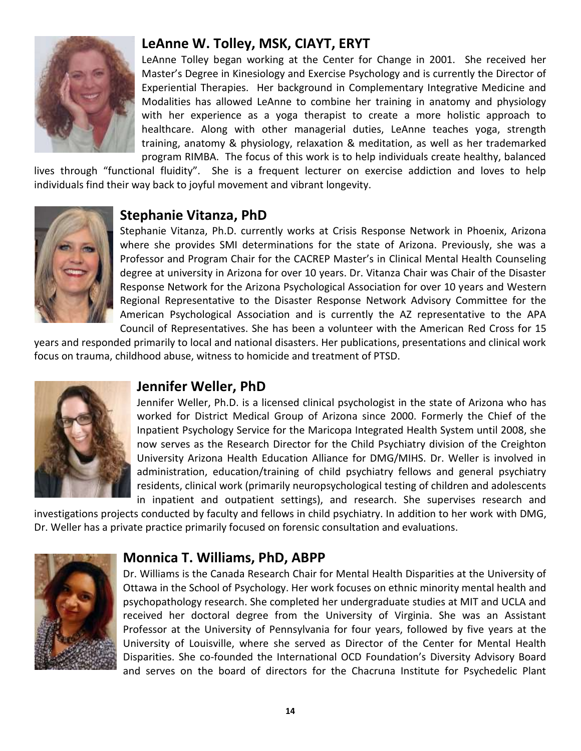

# **LeAnne W. Tolley, MSK, CIAYT, ERYT**

LeAnne Tolley began working at the Center for Change in 2001. She received her Master's Degree in Kinesiology and Exercise Psychology and is currently the Director of Experiential Therapies. Her background in Complementary Integrative Medicine and Modalities has allowed LeAnne to combine her training in anatomy and physiology with her experience as a yoga therapist to create a more holistic approach to healthcare. Along with other managerial duties, LeAnne teaches yoga, strength training, anatomy & physiology, relaxation & meditation, as well as her trademarked program RIMBA. The focus of this work is to help individuals create healthy, balanced

lives through "functional fluidity". She is a frequent lecturer on exercise addiction and loves to help individuals find their way back to joyful movement and vibrant longevity.



### **Stephanie Vitanza, PhD**

Stephanie Vitanza, Ph.D. currently works at Crisis Response Network in Phoenix, Arizona where she provides SMI determinations for the state of Arizona. Previously, she was a Professor and Program Chair for the CACREP Master's in Clinical Mental Health Counseling degree at university in Arizona for over 10 years. Dr. Vitanza Chair was Chair of the Disaster Response Network for the Arizona Psychological Association for over 10 years and Western Regional Representative to the Disaster Response Network Advisory Committee for the American Psychological Association and is currently the AZ representative to the APA Council of Representatives. She has been a volunteer with the American Red Cross for 15

years and responded primarily to local and national disasters. Her publications, presentations and clinical work focus on trauma, childhood abuse, witness to homicide and treatment of PTSD.



### **Jennifer Weller, PhD**

Jennifer Weller, Ph.D. is a licensed clinical psychologist in the state of Arizona who has worked for District Medical Group of Arizona since 2000. Formerly the Chief of the Inpatient Psychology Service for the Maricopa Integrated Health System until 2008, she now serves as the Research Director for the Child Psychiatry division of the Creighton University Arizona Health Education Alliance for DMG/MIHS. Dr. Weller is involved in administration, education/training of child psychiatry fellows and general psychiatry residents, clinical work (primarily neuropsychological testing of children and adolescents in inpatient and outpatient settings), and research. She supervises research and

investigations projects conducted by faculty and fellows in child psychiatry. In addition to her work with DMG, Dr. Weller has a private practice primarily focused on forensic consultation and evaluations.



# **Monnica T. Williams, PhD, ABPP**

Dr. Williams is the Canada Research Chair for Mental Health Disparities at the University of Ottawa in the School of Psychology. Her work focuses on ethnic minority mental health and psychopathology research. She completed her undergraduate studies at MIT and UCLA and received her doctoral degree from the University of Virginia. She was an Assistant Professor at the University of Pennsylvania for four years, followed by five years at the University of Louisville, where she served as Director of the Center for Mental Health Disparities. She co-founded the International OCD Foundation's Diversity Advisory Board and serves on the board of directors for the Chacruna Institute for Psychedelic Plant